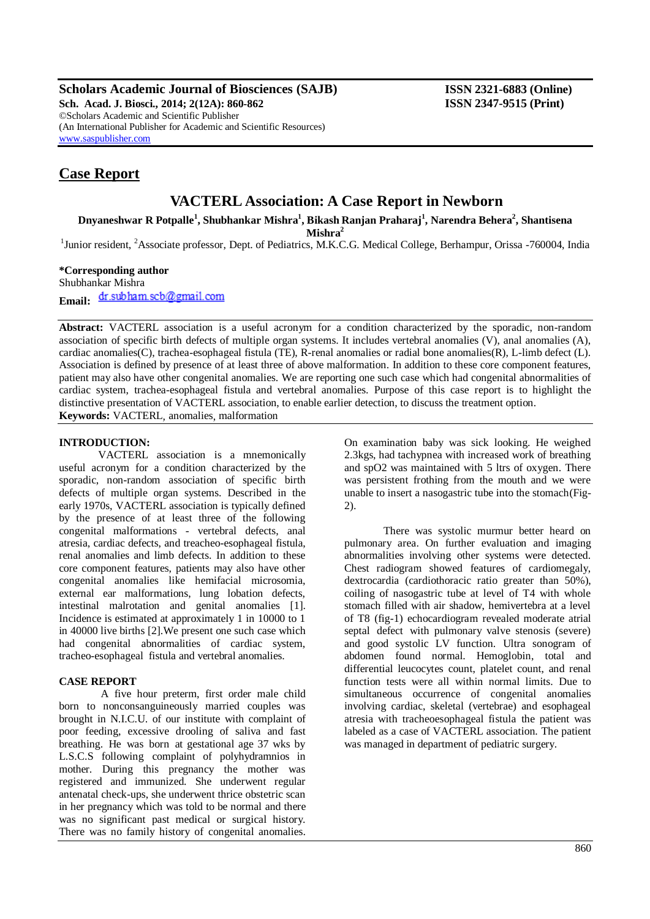**Scholars Academic Journal of Biosciences (SAJB) ISSN 2321-6883 (Online)**

**Sch. Acad. J. Biosci., 2014; 2(12A): 860-862 ISSN 2347-9515 (Print)** ©Scholars Academic and Scientific Publisher (An International Publisher for Academic and Scientific Resources) [www.saspublisher.com](http://www.saspublisher.com/)

# **Case Report**

# **VACTERL Association: A Case Report in Newborn**

**Dnyaneshwar R Potpalle<sup>1</sup> , Shubhankar Mishra<sup>1</sup> , Bikash Ranjan Praharaj<sup>1</sup> , Narendra Behera<sup>2</sup> , Shantisena** 

**Mishra<sup>2</sup>**

<sup>1</sup>Junior resident, <sup>2</sup>Associate professor, Dept. of Pediatrics, M.K.C.G. Medical College, Berhampur, Orissa -760004, India

## **\*Corresponding author**

Shubhankar Mishra Email: dr.subham.scb@gmail.com

**Abstract:** VACTERL association is a useful acronym for a condition characterized by the sporadic, non-random association of specific birth defects of multiple organ systems. It includes vertebral anomalies (V), anal anomalies (A), cardiac anomalies(C), trachea-esophageal fistula (TE), R-renal anomalies or radial bone anomalies(R), L-limb defect (L). Association is defined by presence of at least three of above malformation. In addition to these core component features, patient may also have other congenital anomalies. We are reporting one such case which had congenital abnormalities of cardiac system, trachea-esophageal fistula and vertebral anomalies. Purpose of this case report is to highlight the distinctive presentation of VACTERL association, to enable earlier detection, to discuss the treatment option. **Keywords:** VACTERL*,* anomalies, malformation

### **INTRODUCTION:**

VACTERL association is a mnemonically useful acronym for a condition characterized by the sporadic, non-random association of specific birth defects of multiple organ systems. Described in the early 1970s, VACTERL association is typically defined by the presence of at least three of the following congenital malformations - vertebral defects, anal atresia, cardiac defects, and treacheo-esophageal fistula, renal anomalies and limb defects. In addition to these core component features, patients may also have other congenital anomalies like hemifacial microsomia, external ear malformations, lung lobation defects, intestinal malrotation and genital anomalies [1]. Incidence is estimated at approximately 1 in 10000 to 1 in 40000 live births [2].We present one such case which had congenital abnormalities of cardiac system, tracheo-esophageal fistula and vertebral anomalies.

#### **CASE REPORT**

A five hour preterm, first order male child born to nonconsanguineously married couples was brought in N.I.C.U. of our institute with complaint of poor feeding, excessive drooling of saliva and fast breathing. He was born at gestational age 37 wks by L.S.C.S following complaint of polyhydramnios in mother. During this pregnancy the mother was registered and immunized. She underwent regular antenatal check-ups, she underwent thrice obstetric scan in her pregnancy which was told to be normal and there was no significant past medical or surgical history. There was no family history of congenital anomalies.

On examination baby was sick looking. He weighed 2.3kgs, had tachypnea with increased work of breathing and spO2 was maintained with 5 ltrs of oxygen. There was persistent frothing from the mouth and we were unable to insert a nasogastric tube into the stomach(Fig-2).

There was systolic murmur better heard on pulmonary area. On further evaluation and imaging abnormalities involving other systems were detected. Chest radiogram showed features of cardiomegaly, dextrocardia (cardiothoracic ratio greater than 50%), coiling of nasogastric tube at level of T4 with whole stomach filled with air shadow, hemivertebra at a level of T8 (fig-1) echocardiogram revealed moderate atrial septal defect with pulmonary valve stenosis (severe) and good systolic LV function. Ultra sonogram of abdomen found normal. Hemoglobin, total and differential leucocytes count, platelet count, and renal function tests were all within normal limits. Due to simultaneous occurrence of congenital anomalies involving cardiac, skeletal (vertebrae) and esophageal atresia with tracheoesophageal fistula the patient was labeled as a case of VACTERL association. The patient was managed in department of pediatric surgery.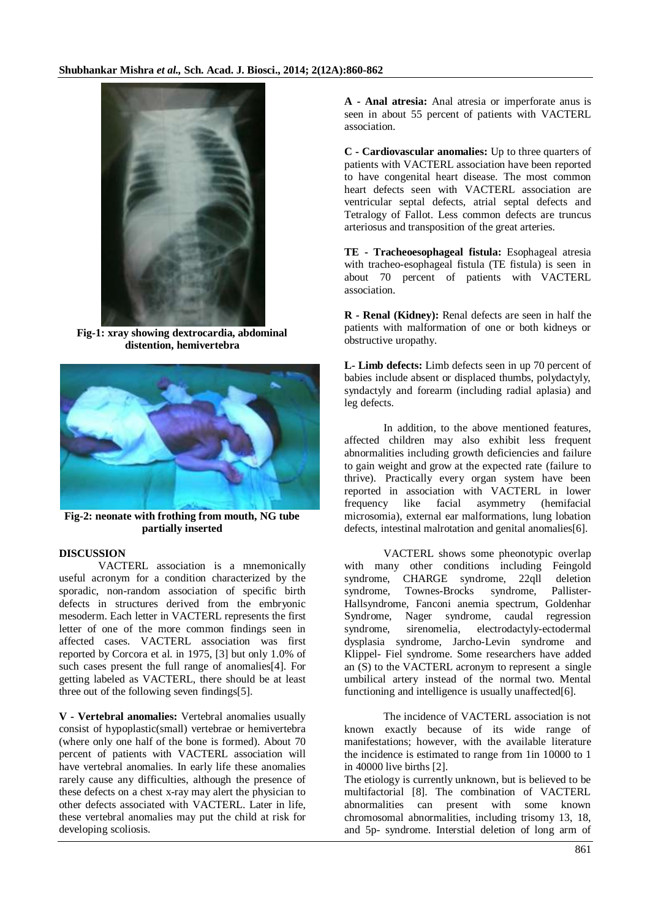

**Fig-1: xray showing dextrocardia, abdominal distention, hemivertebra**



**Fig-2: neonate with frothing from mouth, NG tube partially inserted**

## **DISCUSSION**

VACTERL association is a mnemonically useful acronym for a condition characterized by the sporadic, non-random association of specific birth defects in structures derived from the embryonic mesoderm. Each letter in VACTERL represents the first letter of one of the more common findings seen in affected cases. VACTERL association was first reported by Corcora et al. in 1975, [3] but only 1.0% of such cases present the full range of anomalies[4]. For getting labeled as VACTERL, there should be at least three out of the following seven findings[5].

**V - Vertebral anomalies:** Vertebral anomalies usually consist of hypoplastic(small) vertebrae or hemivertebra (where only one half of the bone is formed). About 70 percent of patients with VACTERL association will have vertebral anomalies. In early life these anomalies rarely cause any difficulties, although the presence of these defects on a chest x-ray may alert the physician to other defects associated with VACTERL. Later in life, these vertebral anomalies may put the child at risk for developing scoliosis.

**A - Anal atresia:** Anal atresia or imperforate anus is seen in about 55 percent of patients with VACTERL association.

**C - Cardiovascular anomalies:** Up to three quarters of patients with VACTERL association have been reported to have congenital heart disease. The most common heart defects seen with VACTERL association are ventricular septal defects, atrial septal defects and Tetralogy of Fallot. Less common defects are truncus arteriosus and transposition of the great arteries.

**TE - Tracheoesophageal fistula:** Esophageal atresia with tracheo-esophageal fistula (TE fistula) is seen in about 70 percent of patients with VACTERL association.

**R - Renal (Kidney):** Renal defects are seen in half the patients with malformation of one or both kidneys or obstructive uropathy.

**L- Limb defects:** Limb defects seen in up 70 percent of babies include absent or displaced thumbs, polydactyly, syndactyly and forearm (including radial aplasia) and leg defects.

In addition, to the above mentioned features, affected children may also exhibit less frequent abnormalities including growth deficiencies and failure to gain weight and grow at the expected rate (failure to thrive). Practically every organ system have been reported in association with VACTERL in lower frequency like facial asymmetry (hemifacial microsomia), external ear malformations, lung lobation defects, intestinal malrotation and genital anomalies[6].

VACTERL shows some pheonotypic overlap with many other conditions including Feingold syndrome, CHARGE syndrome, 22qll deletion syndrome, Townes-Brocks syndrome, Pallister-Hallsyndrome, Fanconi anemia spectrum, Goldenhar Syndrome, Nager syndrome, caudal regression syndrome, sirenomelia, electrodactyly-ectodermal dysplasia syndrome, Jarcho-Levin syndrome and Klippel- Fiel syndrome. Some researchers have added an (S) to the VACTERL acronym to represent a single umbilical artery instead of the normal two. Mental functioning and intelligence is usually unaffected[6].

The incidence of VACTERL association is not known exactly because of its wide range of manifestations; however, with the available literature the incidence is estimated to range from 1in 10000 to 1 in 40000 live births [2].

The etiology is currently unknown, but is believed to be multifactorial [8]. The combination of VACTERL abnormalities can present with some known chromosomal abnormalities, including trisomy 13, 18, and 5p- syndrome. Interstial deletion of long arm of